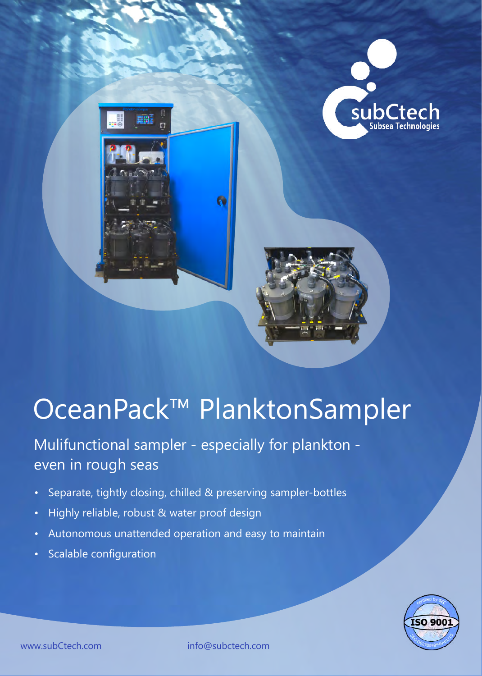

# OceanPack™ PlanktonSampler

Mulifunctional sampler - especially for plankton even in rough seas

- Separate, tightly closing, chilled & preserving sampler-bottles
- Highly reliable, robust & water proof design
- Autonomous unattended operation and easy to maintain
- Scalable configuration



www.subCtech.com info@subctech.com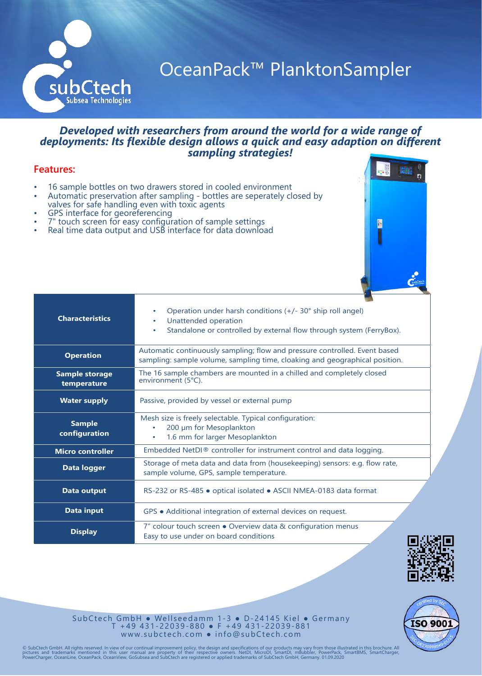

### OceanPack™ PlanktonSampler

E

N

印刷

#### *Developed with researchers from around the world for a wide range of deployments: Its flexible design allows a quick and easy adaption on different sampling strategies!*

#### **Features:**

- 16 sample bottles on two drawers stored in cooled environment
- Automatic preservation after sampling bottles are seperately closed by valves for safe handling even with toxic agents
- GPS interface for georeferencing
- 7" touch screen for easy configuration of sample settings
- Real time data output and USB interface for data download







SubCtech GmbH • Wellseedamm 1-3 • D-24145 Kiel • Germany T + 4 9 4 3 1 - 2 2 0 3 9 - 8 8 0 ● F + 4 9 4 3 1 - 2 2 0 3 9 - 8 8 1 www.subctech.com • info@subCtech.com

© SubCtech GmbH. All rights reserved. In view of our continual improvement policy, the design and specifications of our products may vary from those illustrated in this brochure. All<br>pictures and trademarks mentioned in